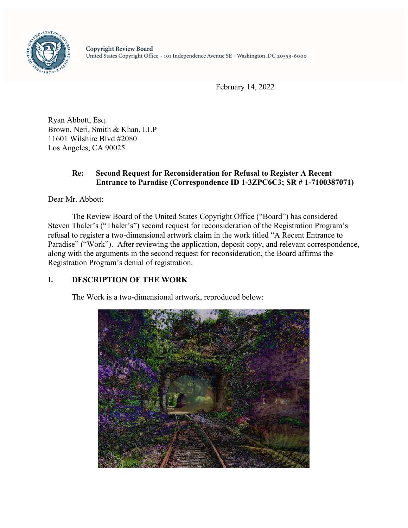

February 14, 2022

Ryan Abbott, Esq. Brown, Neri, Smith & Khan, LLP 11601 Wilshire Blvd #2080 Los Angeles, CA 90025

# **Re: Second Request for Reconsideration for Refusal to Register A Recent Entrance to Paradise (Correspondence ID 1-3ZPC6C3; SR # 1-7100387071)**

Dear Mr. Abbott:

The Review Board of the United States Copyright Office ("Board") has considered Steven Thaler's ("Thaler's") second request for reconsideration of the Registration Program's refusal to register a two-dimensional artwork claim in the work titled "A Recent Entrance to Paradise" ("Work"). After reviewing the application, deposit copy, and relevant correspondence, along with the arguments in the second request for reconsideration, the Board affirms the Registration Program's denial of registration.

# **I. DESCRIPTION OF THE WORK**

The Work is a two-dimensional artwork, reproduced below:

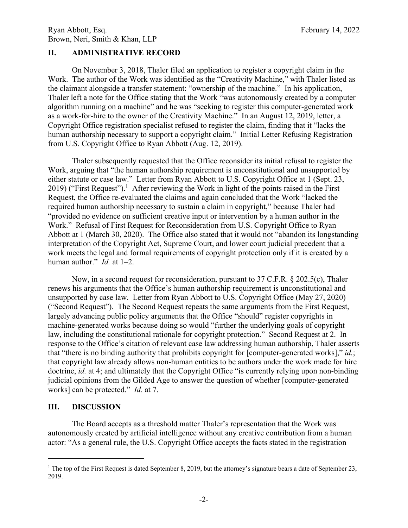# **II. ADMINISTRATIVE RECORD**

On November 3, 2018, Thaler filed an application to register a copyright claim in the Work. The author of the Work was identified as the "Creativity Machine," with Thaler listed as the claimant alongside a transfer statement: "ownership of the machine." In his application, Thaler left a note for the Office stating that the Work "was autonomously created by a computer algorithm running on a machine" and he was "seeking to register this computer-generated work as a work-for-hire to the owner of the Creativity Machine." In an August 12, 2019, letter, a Copyright Office registration specialist refused to register the claim, finding that it "lacks the human authorship necessary to support a copyright claim." Initial Letter Refusing Registration from U.S. Copyright Office to Ryan Abbott (Aug. 12, 2019).

Thaler subsequently requested that the Office reconsider its initial refusal to register the Work, arguing that "the human authorship requirement is unconstitutional and unsupported by either statute or case law." Letter from Ryan Abbott to U.S. Copyright Office at 1 (Sept. 23, 2019) ("First Request").<sup>1</sup> After reviewing the Work in light of the points raised in the First Request, the Office re-evaluated the claims and again concluded that the Work "lacked the required human authorship necessary to sustain a claim in copyright," because Thaler had "provided no evidence on sufficient creative input or intervention by a human author in the Work." Refusal of First Request for Reconsideration from U.S. Copyright Office to Ryan Abbott at 1 (March 30, 2020). The Office also stated that it would not "abandon its longstanding interpretation of the Copyright Act, Supreme Court, and lower court judicial precedent that a work meets the legal and formal requirements of copyright protection only if it is created by a human author." *Id.* at 1–2.

Now, in a second request for reconsideration, pursuant to 37 C.F.R. § 202.5(c), Thaler renews his arguments that the Office's human authorship requirement is unconstitutional and unsupported by case law. Letter from Ryan Abbott to U.S. Copyright Office (May 27, 2020) ("Second Request"). The Second Request repeats the same arguments from the First Request, largely advancing public policy arguments that the Office "should" register copyrights in machine-generated works because doing so would "further the underlying goals of copyright law, including the constitutional rationale for copyright protection." Second Request at 2. In response to the Office's citation of relevant case law addressing human authorship, Thaler asserts that "there is no binding authority that prohibits copyright for [computer-generated works]," *id.*; that copyright law already allows non-human entities to be authors under the work made for hire doctrine, *id.* at 4; and ultimately that the Copyright Office "is currently relying upon non-binding judicial opinions from the Gilded Age to answer the question of whether [computer-generated works] can be protected." *Id.* at 7.

### **III. DISCUSSION**

<u>.</u>

The Board accepts as a threshold matter Thaler's representation that the Work was autonomously created by artificial intelligence without any creative contribution from a human actor: "As a general rule, the U.S. Copyright Office accepts the facts stated in the registration

<sup>&</sup>lt;sup>1</sup> The top of the First Request is dated September 8, 2019, but the attorney's signature bears a date of September 23, 2019.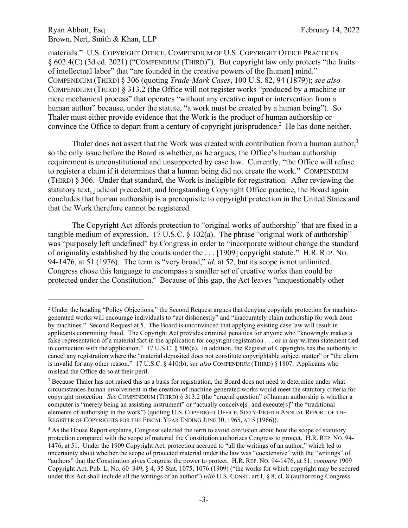$\overline{a}$ 

materials." U.S. COPYRIGHT OFFICE, COMPENDIUM OF U.S. COPYRIGHT OFFICE PRACTICES § 602.4(C) (3d ed. 2021) ("COMPENDIUM (THIRD)"). But copyright law only protects "the fruits of intellectual labor" that "are founded in the creative powers of the [human] mind." COMPENDIUM (THIRD) § 306 (quoting *Trade-Mark Cases*, 100 U.S. 82, 94 (1879)); *see also* COMPENDIUM (THIRD) § 313.2 (the Office will not register works "produced by a machine or mere mechanical process" that operates "without any creative input or intervention from a human author" because, under the statute, "a work must be created by a human being"). So Thaler must either provide evidence that the Work is the product of human authorship or convince the Office to depart from a century of copyright jurisprudence.<sup>2</sup> He has done neither.

Thaler does not assert that the Work was created with contribution from a human author, $3$ so the only issue before the Board is whether, as he argues, the Office's human authorship requirement is unconstitutional and unsupported by case law. Currently, "the Office will refuse to register a claim if it determines that a human being did not create the work." COMPENDIUM (THIRD) § 306. Under that standard, the Work is ineligible for registration. After reviewing the statutory text, judicial precedent, and longstanding Copyright Office practice, the Board again concludes that human authorship is a prerequisite to copyright protection in the United States and that the Work therefore cannot be registered.

The Copyright Act affords protection to "original works of authorship" that are fixed in a tangible medium of expression. 17 U.S.C. § 102(a). The phrase "original work of authorship" was "purposely left undefined" by Congress in order to "incorporate without change the standard of originality established by the courts under the . . . [1909] copyright statute." H.R. REP. NO. 94-1476, at 51 (1976). The term is "very broad," *id.* at 52, but its scope is not unlimited. Congress chose this language to encompass a smaller set of creative works than could be protected under the Constitution.<sup>4</sup> Because of this gap, the Act leaves "unquestionably other

<sup>&</sup>lt;sup>2</sup> Under the heading "Policy Objections," the Second Request argues that denying copyright protection for machinegenerated works will encourage individuals to "act dishonestly" and "inaccurately claim authorship for work done by machines." Second Request at 5. The Board is unconvinced that applying existing case law will result in applicants committing fraud. The Copyright Act provides criminal penalties for anyone who "knowingly makes a false representation of a material fact in the application for copyright registration . . . or in any written statement tied in connection with the application." 17 U.S.C. § 506(e). In addition, the Register of Copyrights has the authority to cancel any registration where the "material deposited does not constitute copyrightable subject matter" or "the claim is invalid for any other reason." 17 U.S.C. § 410(b); *see also* COMPENDIUM (THIRD) § 1807. Applicants who mislead the Office do so at their peril.

<sup>&</sup>lt;sup>3</sup> Because Thaler has not raised this as a basis for registration, the Board does not need to determine under what circumstances human involvement in the creation of machine-generated works would meet the statutory criteria for copyright protection. *See* COMPENDIUM (THIRD) § 313.2 (the "crucial question" of human authorship is whether a computer is "merely being an assisting instrument" or "actually conceive[s] and execute[s]" the "traditional elements of authorship in the work") (quoting U.S. COPYRIGHT OFFICE, SIXTY-EIGHTH ANNUAL REPORT OF THE REGISTER OF COPYRIGHTS FOR THE FISCAL YEAR ENDING JUNE 30, 1965, AT 5 (1966)).

<sup>&</sup>lt;sup>4</sup> As the House Report explains, Congress selected the term to avoid confusion about how the scope of statutory protection compared with the scope of material the Constitution authorizes Congress to protect. H.R. REP. NO. 94- 1476, at 51. Under the 1909 Copyright Act, protection accrued to "all the writings of an author," which led to uncertainty about whether the scope of protected material under the law was "coextensive" with the "writings" of "authors" that the Constitution gives Congress the power to protect. H.R. REP. NO. 94-1476, at 51; *compare* 1909 Copyright Act, Pub. L. No. 60–349, § 4, 35 Stat. 1075, 1076 (1909) ("the works for which copyright may be secured under this Act shall include all the writings of an author") *with* U.S. CONST. art I, § 8, cl. 8 (authorizing Congress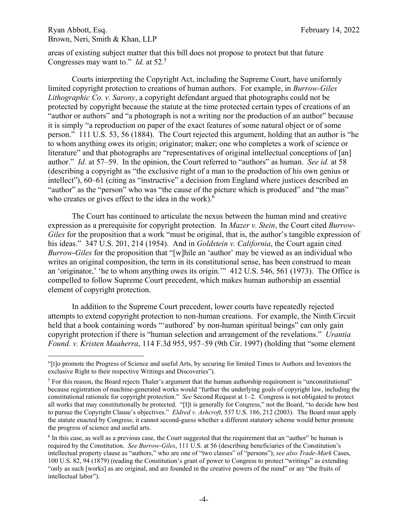$\overline{a}$ 

areas of existing subject matter that this bill does not propose to protect but that future Congresses may want to." *Id.* at 52.5

Courts interpreting the Copyright Act, including the Supreme Court, have uniformly limited copyright protection to creations of human authors. For example, in *Burrow-Giles Lithographic Co. v. Sarony*, a copyright defendant argued that photographs could not be protected by copyright because the statute at the time protected certain types of creations of an "author or authors" and "a photograph is not a writing nor the production of an author" because it is simply "a reproduction on paper of the exact features of some natural object or of some person." 111 U.S. 53, 56 (1884). The Court rejected this argument, holding that an author is "he to whom anything owes its origin; originator; maker; one who completes a work of science or literature" and that photographs are "representatives of original intellectual conceptions of [an] author." *Id*. at 57–59. In the opinion, the Court referred to "authors" as human. *See id.* at 58 (describing a copyright as "the exclusive right of a man to the production of his own genius or intellect"), 60–61 (citing as "instructive" a decision from England where justices described an "author" as the "person" who was "the cause of the picture which is produced" and "the man" who creates or gives effect to the idea in the work).<sup>6</sup>

The Court has continued to articulate the nexus between the human mind and creative expression as a prerequisite for copyright protection. In *Mazer v. Stein*, the Court cited *Burrow-Giles* for the proposition that a work "must be original, that is, the author's tangible expression of his ideas." 347 U.S. 201, 214 (1954). And in *Goldstein v. California*, the Court again cited *Burrow-Giles* for the proposition that "[w]hile an 'author' may be viewed as an individual who writes an original composition, the term in its constitutional sense, has been construed to mean an 'originator,' 'he to whom anything owes its origin.'" 412 U.S. 546, 561 (1973). The Office is compelled to follow Supreme Court precedent, which makes human authorship an essential element of copyright protection.

In addition to the Supreme Court precedent, lower courts have repeatedly rejected attempts to extend copyright protection to non-human creations. For example, the Ninth Circuit held that a book containing words ""authored" by non-human spiritual beings" can only gain copyright protection if there is "human selection and arrangement of the revelations." *Urantia Found. v. Kristen Maaherra*, 114 F.3d 955, 957–59 (9th Cir. 1997) (holding that "some element

<sup>&</sup>quot;[t]o promote the Progress of Science and useful Arts, by securing for limited Times to Authors and Inventors the exclusive Right to their respective Writings and Discoveries").

<sup>&</sup>lt;sup>5</sup> For this reason, the Board rejects Thaler's argument that the human authorship requirement is "unconstitutional" because registration of machine-generated works would "further the underlying goals of copyright law, including the constitutional rationale for copyright protection." *See* Second Request at 1–2. Congress is not obligated to protect all works that may constitutionally be protected. "[I]t is generally for Congress," not the Board, "to decide how best to pursue the Copyright Clause's objectives." *Eldred v. Ashcroft*, 537 U.S. 186, 212 (2003). The Board must apply the statute enacted by Congress; it cannot second-guess whether a different statutory scheme would better promote the progress of science and useful arts.

<sup>&</sup>lt;sup>6</sup> In this case, as well as a previous case, the Court suggested that the requirement that an "author" be human is required by the Constitution. *See Burrow-Giles*, 111 U.S. at 56 (describing beneficiaries of the Constitution's intellectual property clause as "authors," who are one of "two classes" of "persons"); *see also Trade-Mark* Cases, 100 U.S. 82, 94 (1879) (reading the Constitution's grant of power to Congress to protect "writings" as extending "only as such [works] as are original, and are founded in the creative powers of the mind" or are "the fruits of intellectual labor").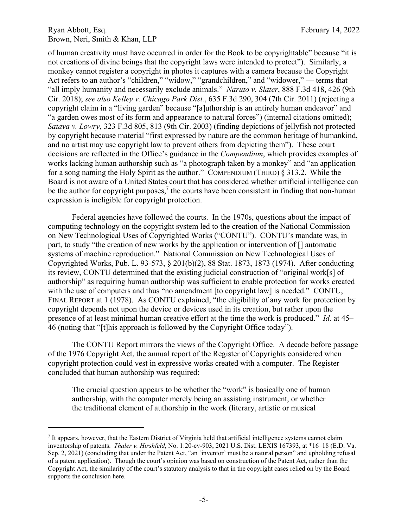1

of human creativity must have occurred in order for the Book to be copyrightable" because "it is not creations of divine beings that the copyright laws were intended to protect"). Similarly, a monkey cannot register a copyright in photos it captures with a camera because the Copyright Act refers to an author's "children," "widow," "grandchildren," and "widower," — terms that "all imply humanity and necessarily exclude animals." *Naruto v. Slater*, 888 F.3d 418, 426 (9th Cir. 2018); *see also Kelley v. Chicago Park Dist.*, 635 F.3d 290, 304 (7th Cir. 2011) (rejecting a copyright claim in a "living garden" because "[a]uthorship is an entirely human endeavor" and "a garden owes most of its form and appearance to natural forces") (internal citations omitted); *Satava v. Lowry*, 323 F.3d 805, 813 (9th Cir. 2003) (finding depictions of jellyfish not protected by copyright because material "first expressed by nature are the common heritage of humankind, and no artist may use copyright law to prevent others from depicting them"). These court decisions are reflected in the Office's guidance in the *Compendium*, which provides examples of works lacking human authorship such as "a photograph taken by a monkey" and "an application for a song naming the Holy Spirit as the author." COMPENDIUM (THIRD) § 313.2. While the Board is not aware of a United States court that has considered whether artificial intelligence can be the author for copyright purposes,<sup>7</sup> the courts have been consistent in finding that non-human expression is ineligible for copyright protection.

Federal agencies have followed the courts. In the 1970s, questions about the impact of computing technology on the copyright system led to the creation of the National Commission on New Technological Uses of Copyrighted Works ("CONTU"). CONTU's mandate was, in part, to study "the creation of new works by the application or intervention of [] automatic systems of machine reproduction." National Commission on New Technological Uses of Copyrighted Works, Pub. L. 93-573, § 201(b)(2), 88 Stat. 1873, 1873 (1974). After conducting its review, CONTU determined that the existing judicial construction of "original work[s] of authorship" as requiring human authorship was sufficient to enable protection for works created with the use of computers and thus "no amendment [to copyright law] is needed." CONTU, FINAL REPORT at 1 (1978). As CONTU explained, "the eligibility of any work for protection by copyright depends not upon the device or devices used in its creation, but rather upon the presence of at least minimal human creative effort at the time the work is produced." *Id.* at 45– 46 (noting that "[t]his approach is followed by the Copyright Office today").

The CONTU Report mirrors the views of the Copyright Office. A decade before passage of the 1976 Copyright Act, the annual report of the Register of Copyrights considered when copyright protection could vest in expressive works created with a computer. The Register concluded that human authorship was required:

The crucial question appears to be whether the "work" is basically one of human authorship, with the computer merely being an assisting instrument, or whether the traditional element of authorship in the work (literary, artistic or musical

<sup>&</sup>lt;sup>7</sup> It appears, however, that the Eastern District of Virginia held that artificial intelligence systems cannot claim inventorship of patents. *Thaler v. Hirshfeld*, No. 1:20-cv-903, 2021 U.S. Dist. LEXIS 167393, at \*16–18 (E.D. Va. Sep. 2, 2021) (concluding that under the Patent Act, "an 'inventor' must be a natural person" and upholding refusal of a patent application). Though the court's opinion was based on construction of the Patent Act, rather than the Copyright Act, the similarity of the court's statutory analysis to that in the copyright cases relied on by the Board supports the conclusion here.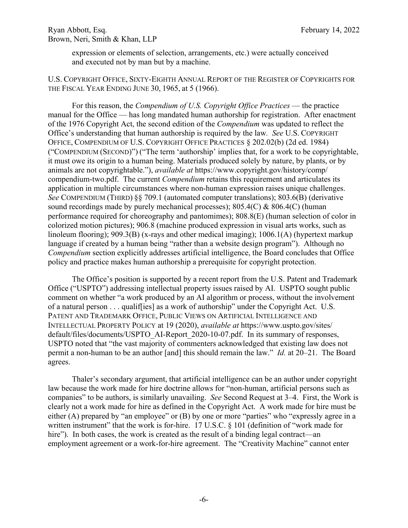expression or elements of selection, arrangements, etc.) were actually conceived and executed not by man but by a machine.

#### U.S. COPYRIGHT OFFICE, SIXTY-EIGHTH ANNUAL REPORT OF THE REGISTER OF COPYRIGHTS FOR THE FISCAL YEAR ENDING JUNE 30, 1965, at 5 (1966).

For this reason, the *Compendium of U.S. Copyright Office Practices* — the practice manual for the Office — has long mandated human authorship for registration. After enactment of the 1976 Copyright Act, the second edition of the *Compendium* was updated to reflect the Office's understanding that human authorship is required by the law*. See* U.S. COPYRIGHT OFFICE, COMPENDIUM OF U.S. COPYRIGHT OFFICE PRACTICES § 202.02(b) (2d ed. 1984) ("COMPENDIUM (SECOND)") ("The term 'authorship' implies that, for a work to be copyrightable, it must owe its origin to a human being. Materials produced solely by nature, by plants, or by animals are not copyrightable."), *available at* https://www.copyright.gov/history/comp/ compendium-two.pdf. The current *Compendium* retains this requirement and articulates its application in multiple circumstances where non-human expression raises unique challenges. *See* COMPENDIUM (THIRD) §§ 709.1 (automated computer translations); 803.6(B) (derivative sound recordings made by purely mechanical processes);  $805.4(C)$  &  $806.4(C)$  (human performance required for choreography and pantomimes); 808.8(E) (human selection of color in colorized motion pictures); 906.8 (machine produced expression in visual arts works, such as linoleum flooring); 909.3(B) (x-rays and other medical imaging); 1006.1(A) (hypertext markup language if created by a human being "rather than a website design program"). Although no *Compendium* section explicitly addresses artificial intelligence, the Board concludes that Office policy and practice makes human authorship a prerequisite for copyright protection.

The Office's position is supported by a recent report from the U.S. Patent and Trademark Office ("USPTO") addressing intellectual property issues raised by AI. USPTO sought public comment on whether "a work produced by an AI algorithm or process, without the involvement of a natural person . . . qualif[ies] as a work of authorship" under the Copyright Act. U.S. PATENT AND TRADEMARK OFFICE, PUBLIC VIEWS ON ARTIFICIAL INTELLIGENCE AND INTELLECTUAL PROPERTY POLICY at 19 (2020), *available at* https://www.uspto.gov/sites/ default/files/documents/USPTO\_AI-Report\_2020-10-07.pdf. In its summary of responses, USPTO noted that "the vast majority of commenters acknowledged that existing law does not permit a non-human to be an author [and] this should remain the law." *Id.* at 20–21. The Board agrees.

Thaler's secondary argument, that artificial intelligence can be an author under copyright law because the work made for hire doctrine allows for "non-human, artificial persons such as companies" to be authors, is similarly unavailing. *See* Second Request at 3–4. First, the Work is clearly not a work made for hire as defined in the Copyright Act. A work made for hire must be either (A) prepared by "an employee" or (B) by one or more "parties" who "expressly agree in a written instrument" that the work is for-hire. 17 U.S.C. § 101 (definition of "work made for hire"). In both cases, the work is created as the result of a binding legal contract—an employment agreement or a work-for-hire agreement. The "Creativity Machine" cannot enter